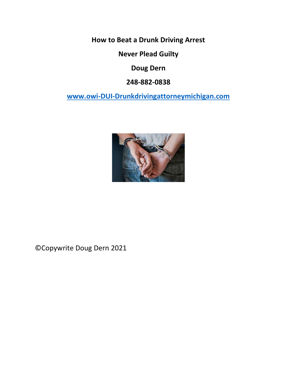**How to Beat a Drunk Driving Arrest**

**Never Plead Guilty**

**Doug Dern**

**248-882-0838**

**[www.owi-DUI-Drunkdrivingattorneymichigan.com](http://www.owi-dui-drunkdrivingattorneymichigan.com/)**



©Copywrite Doug Dern 2021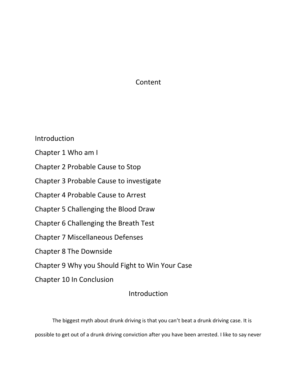# Content

Introduction Chapter 1 Who am I Chapter 2 Probable Cause to Stop Chapter 3 Probable Cause to investigate Chapter 4 Probable Cause to Arrest Chapter 5 Challenging the Blood Draw Chapter 6 Challenging the Breath Test Chapter 7 Miscellaneous Defenses Chapter 8 The Downside Chapter 9 Why you Should Fight to Win Your Case Chapter 10 In Conclusion Introduction

The biggest myth about drunk driving is that you can't beat a drunk driving case. It is possible to get out of a drunk driving conviction after you have been arrested. I like to say never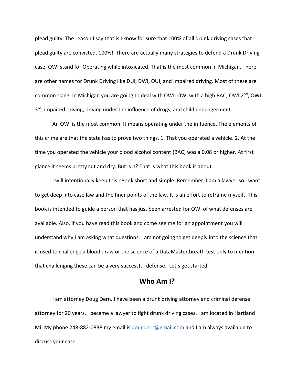plead guilty. The reason I say that is I know for sure that 100% of all drunk driving cases that plead guilty are convicted. 100%! There are actually many strategies to defend a Drunk Driving case. OWI stand for Operating while intoxicated. That is the most common in Michigan. There are other names for Drunk Driving like DUI, DWI, OUI, and Impaired driving. Most of these are common slang. In Michigan you are going to deal with OWI, OWI with a high BAC, OWI 2<sup>nd</sup>, OWI 3<sup>rd</sup>, impaired driving, driving under the influence of drugs, and child endangerment.

An OWI is the most common. It means operating under the influence. The elements of this crime are that the state has to prove two things. 1. That you operated a vehicle. 2. At the time you operated the vehicle your blood alcohol content (BAC) was a 0.08 or higher. At first glance it seems pretty cut and dry. But is it? That is what this book is about.

I will intentionally keep this eBook short and simple. Remember, I am a lawyer so I want to get deep into case law and the finer points of the law. It is an effort to reframe myself. This book is intended to guide a person that has just been arrested for OWI of what defenses are available. Also, if you have read this book and come see me for an appointment you will understand why I am asking what questions. I am not going to get deeply into the science that is used to challenge a blood draw or the science of a DataMaster breath test only to mention that challenging these can be a very successful defense. Let's get started.

# **Who Am I?**

I am attorney Doug Dern. I have been a drunk driving attorney and criminal defense attorney for 20 years. I became a lawyer to fight drunk driving cases. I am located in Hartland Mi. My phone 248-882-0838 my email is [dougdern@gmail.com](mailto:dougdern@gmail.com) and I am always available to discuss your case.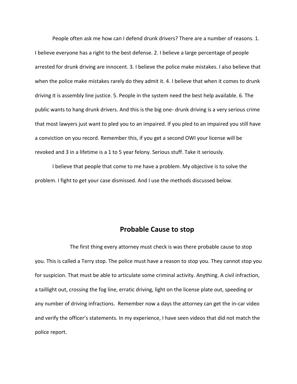People often ask me how can I defend drunk drivers? There are a number of reasons. 1. I believe everyone has a right to the best defense. 2. I believe a large percentage of people arrested for drunk driving are innocent. 3. I believe the police make mistakes. I also believe that when the police make mistakes rarely do they admit it. 4. I believe that when it comes to drunk driving it is assembly line justice. 5. People in the system need the best help available. 6. The public wants to hang drunk drivers. And this is the big one- drunk driving is a very serious crime that most lawyers just want to pled you to an impaired. If you pled to an impaired you still have a conviction on you record. Remember this, if you get a second OWI your license will be revoked and 3 in a lifetime is a 1 to 5 year felony. Serious stuff. Take it seriously.

I believe that people that come to me have a problem. My objective is to solve the problem. I fight to get your case dismissed. And I use the methods discussed below.

#### **Probable Cause to stop**

The first thing every attorney must check is was there probable cause to stop you. This is called a Terry stop. The police must have a reason to stop you. They cannot stop you for suspicion. That must be able to articulate some criminal activity. Anything. A civil infraction, a taillight out, crossing the fog line, erratic driving, light on the license plate out, speeding or any number of driving infractions. Remember now a days the attorney can get the in-car video and verify the officer's statements. In my experience, I have seen videos that did not match the police report.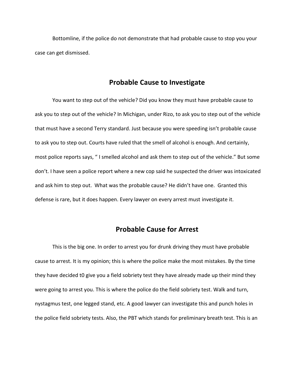Bottomline, if the police do not demonstrate that had probable cause to stop you your case can get dismissed.

# **Probable Cause to Investigate**

You want to step out of the vehicle? Did you know they must have probable cause to ask you to step out of the vehicle? In Michigan, under Rizo, to ask you to step out of the vehicle that must have a second Terry standard. Just because you were speeding isn't probable cause to ask you to step out. Courts have ruled that the smell of alcohol is enough. And certainly, most police reports says, " I smelled alcohol and ask them to step out of the vehicle." But some don't. I have seen a police report where a new cop said he suspected the driver was intoxicated and ask him to step out. What was the probable cause? He didn't have one. Granted this defense is rare, but it does happen. Every lawyer on every arrest must investigate it.

#### **Probable Cause for Arrest**

This is the big one. In order to arrest you for drunk driving they must have probable cause to arrest. It is my opinion; this is where the police make the most mistakes. By the time they have decided t0 give you a field sobriety test they have already made up their mind they were going to arrest you. This is where the police do the field sobriety test. Walk and turn, nystagmus test, one legged stand, etc. A good lawyer can investigate this and punch holes in the police field sobriety tests. Also, the PBT which stands for preliminary breath test. This is an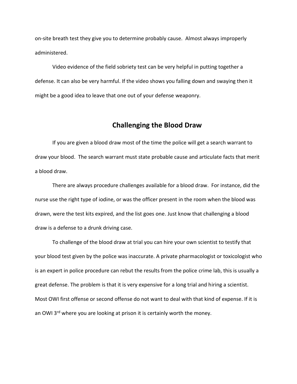on-site breath test they give you to determine probably cause. Almost always improperly administered.

Video evidence of the field sobriety test can be very helpful in putting together a defense. It can also be very harmful. If the video shows you falling down and swaying then it might be a good idea to leave that one out of your defense weaponry.

# **Challenging the Blood Draw**

If you are given a blood draw most of the time the police will get a search warrant to draw your blood. The search warrant must state probable cause and articulate facts that merit a blood draw.

There are always procedure challenges available for a blood draw. For instance, did the nurse use the right type of iodine, or was the officer present in the room when the blood was drawn, were the test kits expired, and the list goes one. Just know that challenging a blood draw is a defense to a drunk driving case.

To challenge of the blood draw at trial you can hire your own scientist to testify that your blood test given by the police was inaccurate. A private pharmacologist or toxicologist who is an expert in police procedure can rebut the results from the police crime lab, this is usually a great defense. The problem is that it is very expensive for a long trial and hiring a scientist. Most OWI first offense or second offense do not want to deal with that kind of expense. If it is an OWI 3<sup>rd</sup> where you are looking at prison it is certainly worth the money.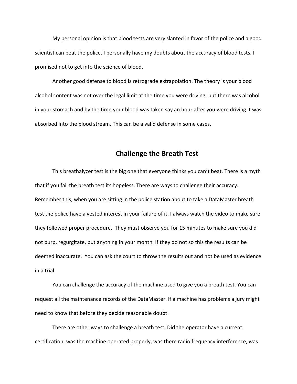My personal opinion is that blood tests are very slanted in favor of the police and a good scientist can beat the police. I personally have my doubts about the accuracy of blood tests. I promised not to get into the science of blood.

Another good defense to blood is retrograde extrapolation. The theory is your blood alcohol content was not over the legal limit at the time you were driving, but there was alcohol in your stomach and by the time your blood was taken say an hour after you were driving it was absorbed into the blood stream. This can be a valid defense in some cases.

# **Challenge the Breath Test**

This breathalyzer test is the big one that everyone thinks you can't beat. There is a myth that if you fail the breath test its hopeless. There are ways to challenge their accuracy. Remember this, when you are sitting in the police station about to take a DataMaster breath test the police have a vested interest in your failure of it. I always watch the video to make sure they followed proper procedure. They must observe you for 15 minutes to make sure you did not burp, regurgitate, put anything in your month. If they do not so this the results can be deemed inaccurate. You can ask the court to throw the results out and not be used as evidence in a trial.

You can challenge the accuracy of the machine used to give you a breath test. You can request all the maintenance records of the DataMaster. If a machine has problems a jury might need to know that before they decide reasonable doubt.

There are other ways to challenge a breath test. Did the operator have a current certification, was the machine operated properly, was there radio frequency interference, was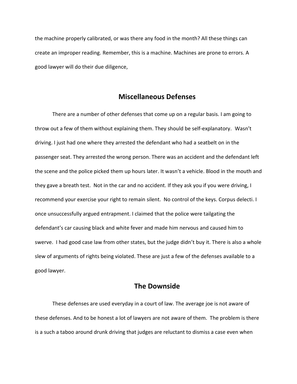the machine properly calibrated, or was there any food in the month? All these things can create an improper reading. Remember, this is a machine. Machines are prone to errors. A good lawyer will do their due diligence,

# **Miscellaneous Defenses**

There are a number of other defenses that come up on a regular basis. I am going to throw out a few of them without explaining them. They should be self-explanatory. Wasn't driving. I just had one where they arrested the defendant who had a seatbelt on in the passenger seat. They arrested the wrong person. There was an accident and the defendant left the scene and the police picked them up hours later. It wasn't a vehicle. Blood in the mouth and they gave a breath test. Not in the car and no accident. If they ask you if you were driving, I recommend your exercise your right to remain silent. No control of the keys. Corpus delecti. I once unsuccessfully argued entrapment. I claimed that the police were tailgating the defendant's car causing black and white fever and made him nervous and caused him to swerve. I had good case law from other states, but the judge didn't buy it. There is also a whole slew of arguments of rights being violated. These are just a few of the defenses available to a good lawyer.

#### **The Downside**

These defenses are used everyday in a court of law. The average joe is not aware of these defenses. And to be honest a lot of lawyers are not aware of them. The problem is there is a such a taboo around drunk driving that judges are reluctant to dismiss a case even when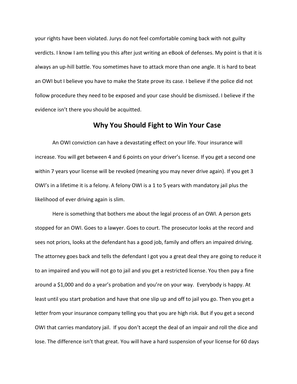your rights have been violated. Jurys do not feel comfortable coming back with not guilty verdicts. I know I am telling you this after just writing an eBook of defenses. My point is that it is always an up-hill battle. You sometimes have to attack more than one angle. It is hard to beat an OWI but I believe you have to make the State prove its case. I believe if the police did not follow procedure they need to be exposed and your case should be dismissed. I believe if the evidence isn't there you should be acquitted.

#### **Why You Should Fight to Win Your Case**

An OWI conviction can have a devastating effect on your life. Your insurance will increase. You will get between 4 and 6 points on your driver's license. If you get a second one within 7 years your license will be revoked (meaning you may never drive again). If you get 3 OWI's in a lifetime it is a felony. A felony OWI is a 1 to 5 years with mandatory jail plus the likelihood of ever driving again is slim.

Here is something that bothers me about the legal process of an OWI. A person gets stopped for an OWI. Goes to a lawyer. Goes to court. The prosecutor looks at the record and sees not priors, looks at the defendant has a good job, family and offers an impaired driving. The attorney goes back and tells the defendant I got you a great deal they are going to reduce it to an impaired and you will not go to jail and you get a restricted license. You then pay a fine around a \$1,000 and do a year's probation and you're on your way. Everybody is happy. At least until you start probation and have that one slip up and off to jail you go. Then you get a letter from your insurance company telling you that you are high risk. But if you get a second OWI that carries mandatory jail. If you don't accept the deal of an impair and roll the dice and lose. The difference isn't that great. You will have a hard suspension of your license for 60 days